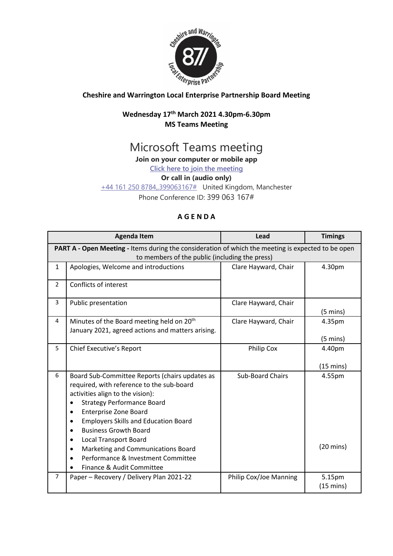

## **Cheshire and Warrington Local Enterprise Partnership Board Meeting**

## **Wednesday 17th March 2021 4.30pm-6.30pm MS Teams Meeting**

# Microsoft Teams meeting

**Join on your computer or mobile app**

**[Click here to join the meeting](https://teams.microsoft.com/l/meetup-join/19%3ameeting_Y2MzMDNjODAtZDAxOS00M2NiLWEzZWQtNTM0MjRkZWExNmM3%40thread.v2/0?context=%7b%22Tid%22%3a%229fdc30f0-07e8-4ece-96e4-5daef8d479d1%22%2c%22Oid%22%3a%226c5251ba-0d3a-40c0-b933-9dcb03aa1bd1%22%7d)**

#### **Or call in (audio only)**

[+44 161 250 8784,,399063167#](tel:+441612508784,,399063167# ) United Kingdom, Manchester

Phone Conference ID: 399 063 167#

### **A G E N D A**

|                                                                                                    | <b>Agenda Item</b>                                    | Lead                    | <b>Timings</b>      |  |
|----------------------------------------------------------------------------------------------------|-------------------------------------------------------|-------------------------|---------------------|--|
| PART A - Open Meeting - Items during the consideration of which the meeting is expected to be open |                                                       |                         |                     |  |
| to members of the public (including the press)                                                     |                                                       |                         |                     |  |
| $\mathbf{1}$                                                                                       | Apologies, Welcome and introductions                  | Clare Hayward, Chair    | 4.30pm              |  |
| $\overline{2}$                                                                                     | Conflicts of interest                                 |                         |                     |  |
| 3                                                                                                  | Public presentation                                   | Clare Hayward, Chair    |                     |  |
|                                                                                                    |                                                       |                         | $(5 \text{ mins})$  |  |
| 4                                                                                                  | Minutes of the Board meeting held on 20 <sup>th</sup> | Clare Hayward, Chair    | 4.35pm              |  |
|                                                                                                    | January 2021, agreed actions and matters arising.     |                         |                     |  |
|                                                                                                    |                                                       |                         | $(5 \text{ mins})$  |  |
| 5                                                                                                  | <b>Chief Executive's Report</b>                       | <b>Philip Cox</b>       | 4.40pm              |  |
|                                                                                                    |                                                       |                         |                     |  |
|                                                                                                    |                                                       |                         | $(15 \text{ mins})$ |  |
| 6                                                                                                  | Board Sub-Committee Reports (chairs updates as        | <b>Sub-Board Chairs</b> | 4.55pm              |  |
|                                                                                                    | required, with reference to the sub-board             |                         |                     |  |
|                                                                                                    | activities align to the vision):                      |                         |                     |  |
|                                                                                                    | <b>Strategy Performance Board</b>                     |                         |                     |  |
|                                                                                                    | <b>Enterprise Zone Board</b>                          |                         |                     |  |
|                                                                                                    | <b>Employers Skills and Education Board</b>           |                         |                     |  |
|                                                                                                    | <b>Business Growth Board</b>                          |                         |                     |  |
|                                                                                                    | <b>Local Transport Board</b><br>٠                     |                         |                     |  |
|                                                                                                    | Marketing and Communications Board<br>٠               |                         | $(20 \text{ mins})$ |  |
|                                                                                                    | Performance & Investment Committee                    |                         |                     |  |
|                                                                                                    | Finance & Audit Committee                             |                         |                     |  |
| $\overline{7}$                                                                                     | Paper - Recovery / Delivery Plan 2021-22              | Philip Cox/Joe Manning  | 5.15pm              |  |
|                                                                                                    |                                                       |                         | $(15 \text{ mins})$ |  |